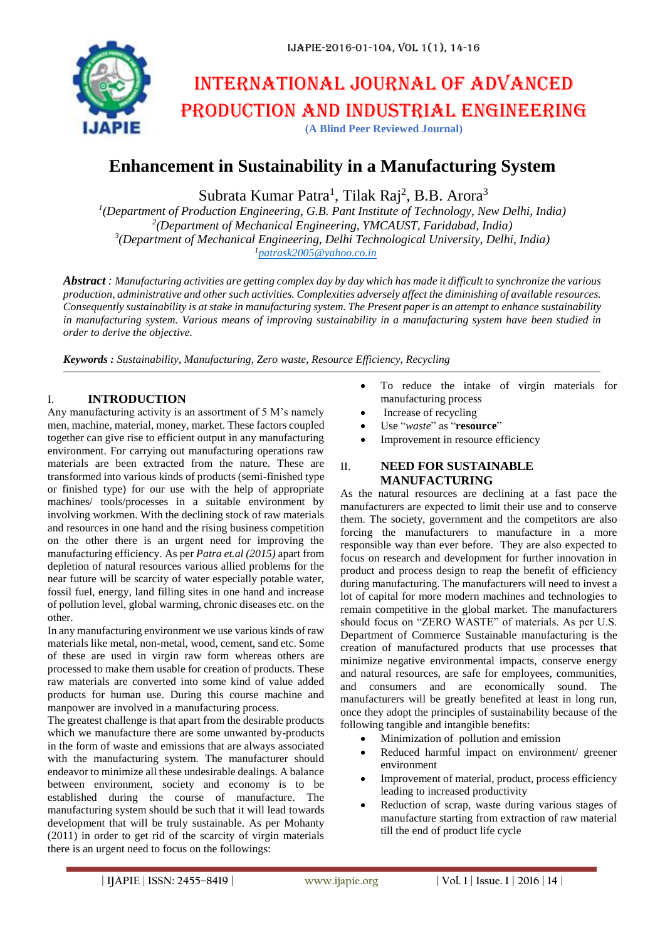

# International journal of advanced production and industrial engineering

**(A Blind Peer Reviewed Journal)**

# **Enhancement in Sustainability in a Manufacturing System**

Subrata Kumar Patra<sup>1</sup>, Tilak Raj<sup>2</sup>, B.B. Arora<sup>3</sup>

 *(Department of Production Engineering, G.B. Pant Institute of Technology, New Delhi, India) (Department of Mechanical Engineering, YMCAUST, Faridabad, India) (Department of Mechanical Engineering, Delhi Technological University, Delhi, India) [patrask2005@yahoo.co.in](mailto:patrask2005@yahoo.co.in)*

*Abstract : Manufacturing activities are getting complex day by day which has made it difficult to synchronize the various production, administrative and other such activities. Complexities adversely affect the diminishing of available resources. Consequently sustainability is at stake in manufacturing system. The Present paper is an attempt to enhance sustainability in manufacturing system. Various means of improving sustainability in a manufacturing system have been studied in order to derive the objective.*

*Keywords : Sustainability, Manufacturing, Zero waste, Resource Efficiency, Recycling*

### I. **INTRODUCTION**

Any manufacturing activity is an assortment of 5 M's namely men, machine, material, money, market. These factors coupled together can give rise to efficient output in any manufacturing environment. For carrying out manufacturing operations raw materials are been extracted from the nature. These are transformed into various kinds of products (semi-finished type or finished type) for our use with the help of appropriate machines/ tools/processes in a suitable environment by involving workmen. With the declining stock of raw materials and resources in one hand and the rising business competition on the other there is an urgent need for improving the manufacturing efficiency. As per *Patra et.al (2015)* apart from depletion of natural resources various allied problems for the near future will be scarcity of water especially potable water, fossil fuel, energy, land filling sites in one hand and increase of pollution level, global warming, chronic diseases etc. on the other.

In any manufacturing environment we use various kinds of raw materials like metal, non-metal, wood, cement, sand etc. Some of these are used in virgin raw form whereas others are processed to make them usable for creation of products. These raw materials are converted into some kind of value added products for human use. During this course machine and manpower are involved in a manufacturing process.

The greatest challenge is that apart from the desirable products which we manufacture there are some unwanted by-products in the form of waste and emissions that are always associated with the manufacturing system. The manufacturer should endeavor to minimize all these undesirable dealings. A balance between environment, society and economy is to be established during the course of manufacture. The manufacturing system should be such that it will lead towards development that will be truly sustainable. As per Mohanty (2011) in order to get rid of the scarcity of virgin materials there is an urgent need to focus on the followings:

- To reduce the intake of virgin materials for manufacturing process
- Increase of recycling
- Use "*waste*" as "**resource**"
- Improvement in resource efficiency

### II. **NEED FOR SUSTAINABLE MANUFACTURING**

As the natural resources are declining at a fast pace the manufacturers are expected to limit their use and to conserve them. The society, government and the competitors are also forcing the manufacturers to manufacture in a more responsible way than ever before. They are also expected to focus on research and development for further innovation in product and process design to reap the benefit of efficiency during manufacturing. The manufacturers will need to invest a lot of capital for more modern machines and technologies to remain competitive in the global market. The manufacturers should focus on "ZERO WASTE" of materials. As per U.S. Department of Commerce Sustainable manufacturing is the creation of manufactured products that use processes that minimize negative environmental impacts, conserve energy and natural resources, are safe for employees, communities, and consumers and are economically sound. The manufacturers will be greatly benefited at least in long run, once they adopt the principles of sustainability because of the following tangible and intangible benefits:

- Minimization of pollution and emission
- Reduced harmful impact on environment/ greener environment
- Improvement of material, product, process efficiency leading to increased productivity
- Reduction of scrap, waste during various stages of manufacture starting from extraction of raw material till the end of product life cycle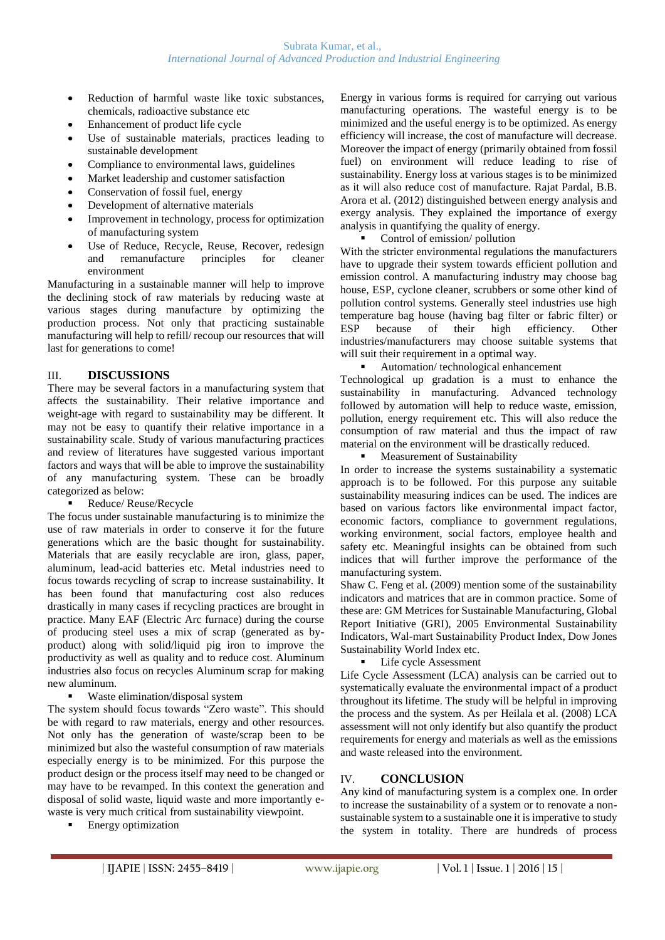- Reduction of harmful waste like toxic substances, chemicals, radioactive substance etc
- Enhancement of product life cycle
- Use of sustainable materials, practices leading to sustainable development
- Compliance to environmental laws, guidelines
- Market leadership and customer satisfaction
- Conservation of fossil fuel, energy
- Development of alternative materials
- Improvement in technology, process for optimization of manufacturing system
- Use of Reduce, Recycle, Reuse, Recover, redesign and remanufacture principles for cleaner environment

Manufacturing in a sustainable manner will help to improve the declining stock of raw materials by reducing waste at various stages during manufacture by optimizing the production process. Not only that practicing sustainable manufacturing will help to refill/ recoup our resources that will last for generations to come!

### III. **DISCUSSIONS**

There may be several factors in a manufacturing system that affects the sustainability. Their relative importance and weight-age with regard to sustainability may be different. It may not be easy to quantify their relative importance in a sustainability scale. Study of various manufacturing practices and review of literatures have suggested various important factors and ways that will be able to improve the sustainability of any manufacturing system. These can be broadly categorized as below:

■ Reduce/ Reuse/Recycle

The focus under sustainable manufacturing is to minimize the use of raw materials in order to conserve it for the future generations which are the basic thought for sustainability. Materials that are easily recyclable are iron, glass, paper, aluminum, lead-acid batteries etc. Metal industries need to focus towards recycling of scrap to increase sustainability. It has been found that manufacturing cost also reduces drastically in many cases if recycling practices are brought in practice. Many EAF (Electric Arc furnace) during the course of producing steel uses a mix of scrap (generated as byproduct) along with solid/liquid pig iron to improve the productivity as well as quality and to reduce cost. Aluminum industries also focus on recycles Aluminum scrap for making new aluminum.

Waste elimination/disposal system

The system should focus towards "Zero waste". This should be with regard to raw materials, energy and other resources. Not only has the generation of waste/scrap been to be minimized but also the wasteful consumption of raw materials especially energy is to be minimized. For this purpose the product design or the process itself may need to be changed or may have to be revamped. In this context the generation and disposal of solid waste, liquid waste and more importantly ewaste is very much critical from sustainability viewpoint.

**Energy optimization** 

Energy in various forms is required for carrying out various manufacturing operations. The wasteful energy is to be minimized and the useful energy is to be optimized. As energy efficiency will increase, the cost of manufacture will decrease. Moreover the impact of energy (primarily obtained from fossil fuel) on environment will reduce leading to rise of sustainability. Energy loss at various stages is to be minimized as it will also reduce cost of manufacture. Rajat Pardal, B.B. Arora et al. (2012) distinguished between energy analysis and exergy analysis. They explained the importance of exergy analysis in quantifying the quality of energy.

#### Control of emission/ pollution

With the stricter environmental regulations the manufacturers have to upgrade their system towards efficient pollution and emission control. A manufacturing industry may choose bag house, ESP, cyclone cleaner, scrubbers or some other kind of pollution control systems. Generally steel industries use high temperature bag house (having bag filter or fabric filter) or ESP because of their high efficiency. Other industries/manufacturers may choose suitable systems that will suit their requirement in a optimal way.

#### Automation/ technological enhancement

Technological up gradation is a must to enhance the sustainability in manufacturing. Advanced technology followed by automation will help to reduce waste, emission, pollution, energy requirement etc. This will also reduce the consumption of raw material and thus the impact of raw material on the environment will be drastically reduced.

**Measurement of Sustainability** 

In order to increase the systems sustainability a systematic approach is to be followed. For this purpose any suitable sustainability measuring indices can be used. The indices are based on various factors like environmental impact factor, economic factors, compliance to government regulations, working environment, social factors, employee health and safety etc. Meaningful insights can be obtained from such indices that will further improve the performance of the manufacturing system.

Shaw C. Feng et al. (2009) mention some of the sustainability indicators and matrices that are in common practice. Some of these are: GM Metrices for Sustainable Manufacturing, Global Report Initiative (GRI), 2005 Environmental Sustainability Indicators, Wal-mart Sustainability Product Index, Dow Jones Sustainability World Index etc.

Life cycle Assessment

Life Cycle Assessment (LCA) analysis can be carried out to systematically evaluate the environmental impact of a product throughout its lifetime. The study will be helpful in improving the process and the system. As per Heilala et al. (2008) LCA assessment will not only identify but also quantify the product requirements for energy and materials as well as the emissions and waste released into the environment.

## IV. **CONCLUSION**

Any kind of manufacturing system is a complex one. In order to increase the sustainability of a system or to renovate a nonsustainable system to a sustainable one it is imperative to study the system in totality. There are hundreds of process